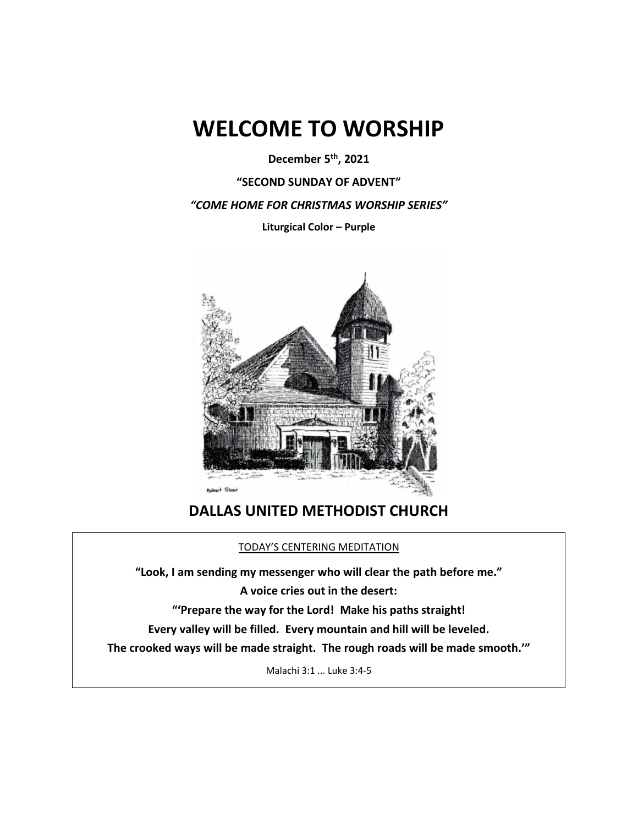# **WELCOME TO WORSHIP**

**December 5th , 2021**

**"SECOND SUNDAY OF ADVENT"**

*"COME HOME FOR CHRISTMAS WORSHIP SERIES"*

**Liturgical Color – Purple** 



# **DALLAS UNITED METHODIST CHURCH**

# TODAY'S CENTERING MEDITATION

**"Look, I am sending my messenger who will clear the path before me." A voice cries out in the desert: "'Prepare the way for the Lord! Make his paths straight! Every valley will be filled. Every mountain and hill will be leveled. The crooked ways will be made straight. The rough roads will be made smooth.'"** Malachi 3:1 ... Luke 3:4-5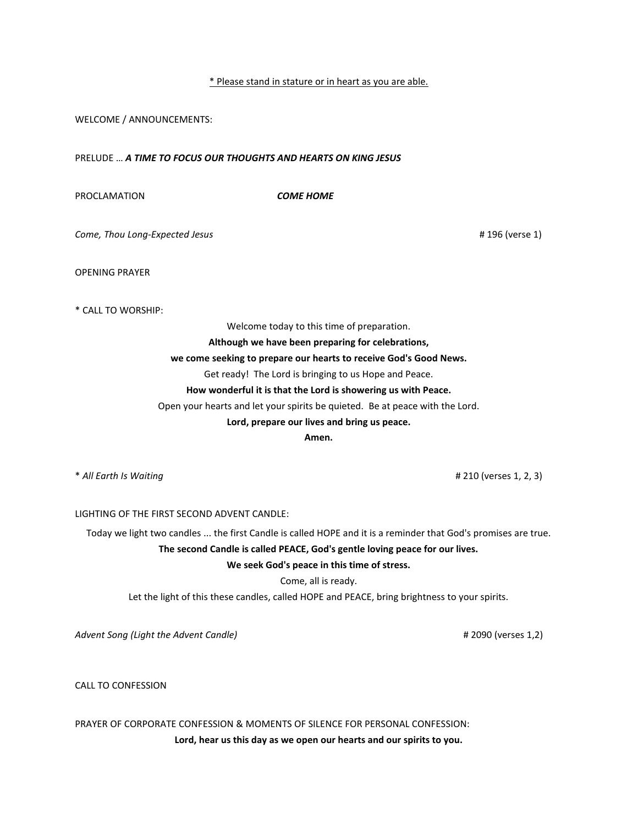## \* Please stand in stature or in heart as you are able.

WELCOME / ANNOUNCEMENTS:

PRELUDE … *A TIME TO FOCUS OUR THOUGHTS AND HEARTS ON KING JESUS*

PROCLAMATION *COME HOME*

*Come, Thou Long-Expected Jesus* # 196 (verse 1)

OPENING PRAYER

\* CALL TO WORSHIP:

Welcome today to this time of preparation.

**Although we have been preparing for celebrations,**

## **we come seeking to prepare our hearts to receive God's Good News.**

Get ready! The Lord is bringing to us Hope and Peace.

# **How wonderful it is that the Lord is showering us with Peace.**

Open your hearts and let your spirits be quieted. Be at peace with the Lord.

#### **Lord, prepare our lives and bring us peace.**

**Amen.**

\* *All Earth Is Waiting* # 210 (verses 1, 2, 3)

LIGHTING OF THE FIRST SECOND ADVENT CANDLE:

Today we light two candles ... the first Candle is called HOPE and it is a reminder that God's promises are true. **The second Candle is called PEACE, God's gentle loving peace for our lives.**

**We seek God's peace in this time of stress.**

Come, all is ready.

Let the light of this these candles, called HOPE and PEACE, bring brightness to your spirits.

*Advent Song (Light the Advent Candle)* # 2090 (verses 1,2)

CALL TO CONFESSION

PRAYER OF CORPORATE CONFESSION & MOMENTS OF SILENCE FOR PERSONAL CONFESSION:

**Lord, hear us this day as we open our hearts and our spirits to you.**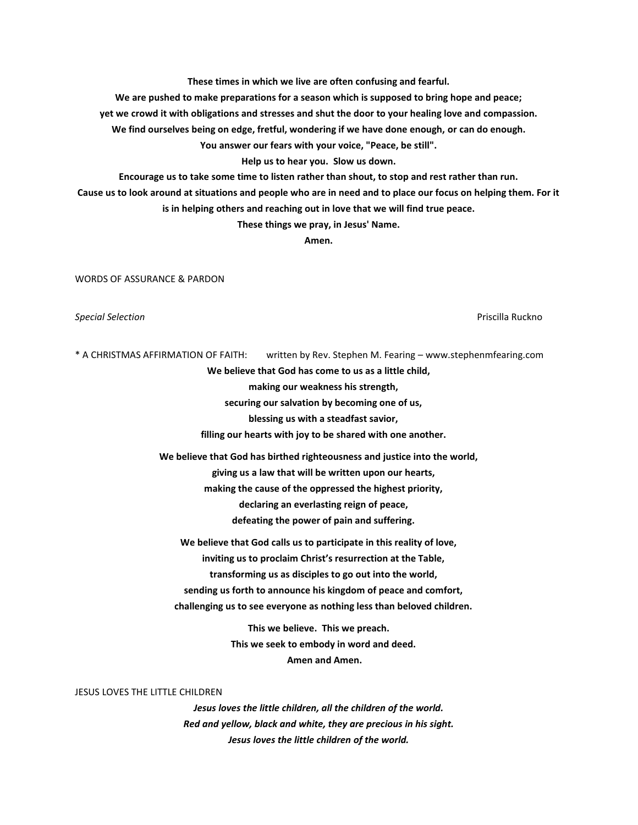**These times in which we live are often confusing and fearful.** 

**We are pushed to make preparations for a season which is supposed to bring hope and peace;** 

**yet we crowd it with obligations and stresses and shut the door to your healing love and compassion.** 

**We find ourselves being on edge, fretful, wondering if we have done enough, or can do enough.** 

**You answer our fears with your voice, "Peace, be still".** 

**Help us to hear you. Slow us down.** 

**Encourage us to take some time to listen rather than shout, to stop and rest rather than run.** 

**Cause us to look around at situations and people who are in need and to place our focus on helping them. For it** 

**is in helping others and reaching out in love that we will find true peace.** 

**These things we pray, in Jesus' Name.** 

**Amen.**

WORDS OF ASSURANCE & PARDON

*Special Selection* Priscilla Ruckno

\* A CHRISTMAS AFFIRMATION OF FAITH: written by Rev. Stephen M. Fearing – www.stephenmfearing.com

**We believe that God has come to us as a little child,**

 **making our weakness his strength,**

 **securing our salvation by becoming one of us,**

 **blessing us with a steadfast savior,**

 **filling our hearts with joy to be shared with one another.**

**We believe that God has birthed righteousness and justice into the world, giving us a law that will be written upon our hearts, making the cause of the oppressed the highest priority, declaring an everlasting reign of peace, defeating the power of pain and suffering.**

**We believe that God calls us to participate in this reality of love, inviting us to proclaim Christ's resurrection at the Table, transforming us as disciples to go out into the world, sending us forth to announce his kingdom of peace and comfort, challenging us to see everyone as nothing less than beloved children.**

> **This we believe. This we preach. This we seek to embody in word and deed. Amen and Amen.**

#### JESUS LOVES THE LITTLE CHILDREN

*Jesus loves the little children, all the children of the world. Red and yellow, black and white, they are precious in his sight. Jesus loves the little children of the world.*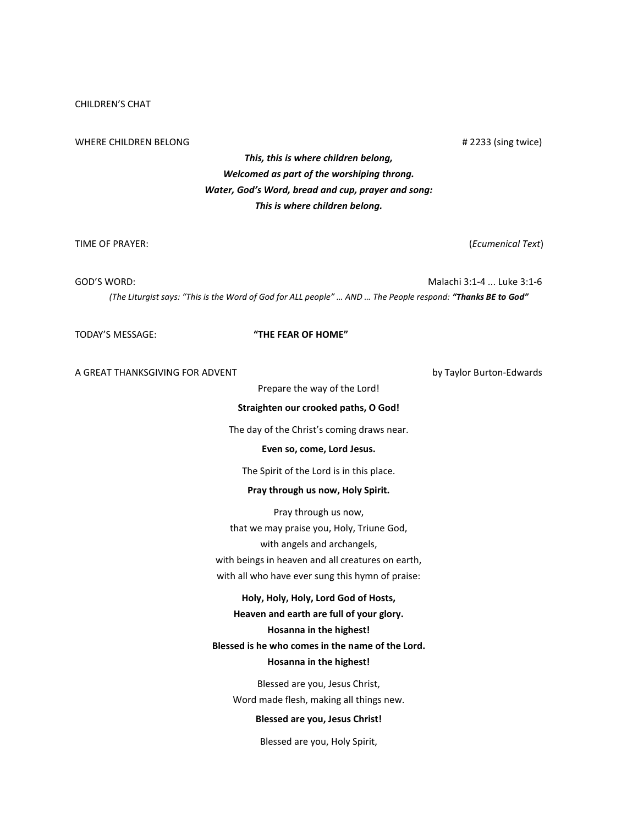# CHILDREN'S CHAT

#### WHERE CHILDREN BELONG **A 2233** (sing twice) **# 2233** (sing twice)

# *This, this is where children belong, Welcomed as part of the worshiping throng. Water, God's Word, bread and cup, prayer and song: This is where children belong.*

TIME OF PRAYER: (*Ecumenical Text*)

GOD'S WORD: Malachi 3:1-4 ... Luke 3:1-6 *(The Liturgist says: "This is the Word of God for ALL people" … AND … The People respond: "Thanks BE to God"*

# TODAY'S MESSAGE: **"THE FEAR OF HOME"**

A GREAT THANKSGIVING FOR ADVENT **by Taylor Burton-Edwards** 

Prepare the way of the Lord!

# **Straighten our crooked paths, O God!**

The day of the Christ's coming draws near.

#### **Even so, come, Lord Jesus.**

The Spirit of the Lord is in this place.

#### **Pray through us now, Holy Spirit.**

Pray through us now, that we may praise you, Holy, Triune God, with angels and archangels, with beings in heaven and all creatures on earth, with all who have ever sung this hymn of praise:

#### **Holy, Holy, Holy, Lord God of Hosts,**

**Heaven and earth are full of your glory.**

# **Hosanna in the highest!**

# **Blessed is he who comes in the name of the Lord. Hosanna in the highest!**

Blessed are you, Jesus Christ, Word made flesh, making all things new.

# **Blessed are you, Jesus Christ!**

Blessed are you, Holy Spirit,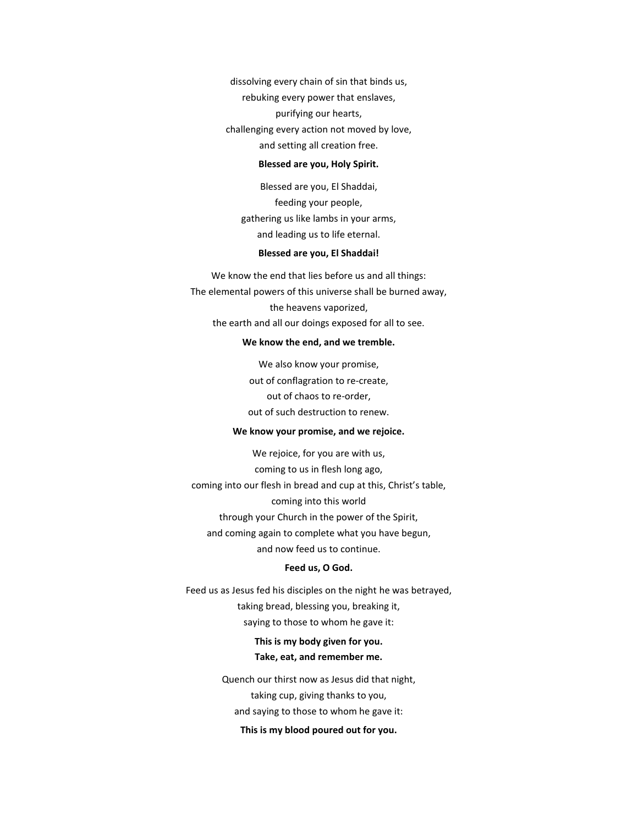dissolving every chain of sin that binds us, rebuking every power that enslaves, purifying our hearts, challenging every action not moved by love, and setting all creation free.

#### **Blessed are you, Holy Spirit.**

Blessed are you, El Shaddai, feeding your people, gathering us like lambs in your arms, and leading us to life eternal.

#### **Blessed are you, El Shaddai!**

We know the end that lies before us and all things: The elemental powers of this universe shall be burned away, the heavens vaporized, the earth and all our doings exposed for all to see.

#### **We know the end, and we tremble.**

We also know your promise, out of conflagration to re-create, out of chaos to re-order, out of such destruction to renew.

## **We know your promise, and we rejoice.**

We rejoice, for you are with us, coming to us in flesh long ago, coming into our flesh in bread and cup at this, Christ's table, coming into this world through your Church in the power of the Spirit, and coming again to complete what you have begun, and now feed us to continue.

# **Feed us, O God.**

Feed us as Jesus fed his disciples on the night he was betrayed, taking bread, blessing you, breaking it, saying to those to whom he gave it:

# **This is my body given for you. Take, eat, and remember me.**

Quench our thirst now as Jesus did that night, taking cup, giving thanks to you, and saying to those to whom he gave it:

# **This is my blood poured out for you.**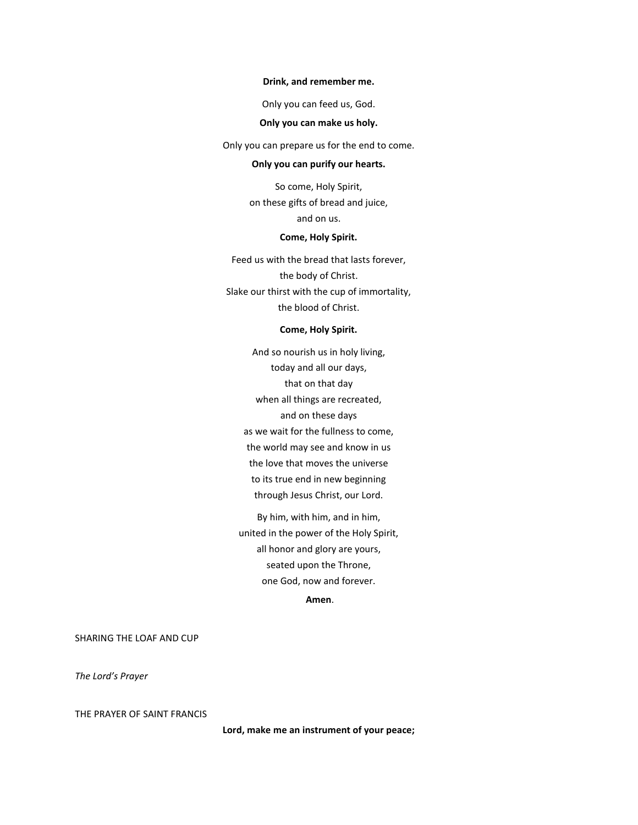#### **Drink, and remember me.**

Only you can feed us, God.

# **Only you can make us holy.**

Only you can prepare us for the end to come.

## **Only you can purify our hearts.**

So come, Holy Spirit, on these gifts of bread and juice, and on us.

# **Come, Holy Spirit.**

Feed us with the bread that lasts forever, the body of Christ. Slake our thirst with the cup of immortality, the blood of Christ.

# **Come, Holy Spirit.**

And so nourish us in holy living, today and all our days, that on that day when all things are recreated, and on these days as we wait for the fullness to come, the world may see and know in us the love that moves the universe to its true end in new beginning through Jesus Christ, our Lord.

By him, with him, and in him, united in the power of the Holy Spirit, all honor and glory are yours, seated upon the Throne, one God, now and forever.

**Amen**.

SHARING THE LOAF AND CUP

*The Lord's Prayer*

THE PRAYER OF SAINT FRANCIS

**Lord, make me an instrument of your peace;**